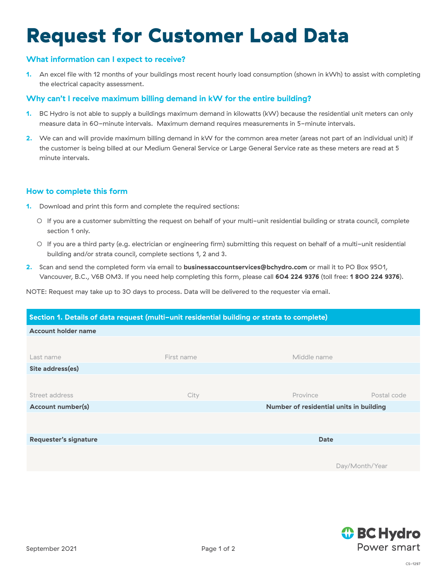# Request for Customer Load Data

# **What information can I expect to receive?**

**1.** An excel file with 12 months of your buildings most recent hourly load consumption (shown in kWh) to assist with completing the electrical capacity assessment.

# **Why can't I receive maximum billing demand in kW for the entire building?**

- **1.** BC Hydro is not able to supply a buildings maximum demand in kilowatts (kW) because the residential unit meters can only measure data in 60-minute intervals. Maximum demand requires measurements in 5-minute intervals.
- **2.** We can and will provide maximum billing demand in kW for the common area meter (areas not part of an individual unit) if the customer is being billed at our Medium General Service or Large General Service rate as these meters are read at 5 minute intervals.

# **How to complete this form**

- **1.** Download and print this form and complete the required sections:
	- If you are a customer submitting the request on behalf of your multi-unit residential building or strata council, complete section 1 only.
	- If you are a third party (e.g. electrician or engineering firm) submitting this request on behalf of a multi-unit residential building and/or strata council, complete sections 1, 2 and 3.
- **2.** Scan and send the completed form via email to **[businessaccountservices@bchydro.com](mailto:businessaccountservices%40bchydro.com?subject=)** or mail it to PO Box 9501, Vancouver, B.C., V6B 0M3. If you need help completing this form, please call **604 224 9376** (toll free: **1 800 224 9376**).

NOTE: Request may take up to 30 days to process. Data will be delivered to the requester via email.

| Section 1. Details of data request (multi-unit residential building or strata to complete) |            |                                         |             |  |
|--------------------------------------------------------------------------------------------|------------|-----------------------------------------|-------------|--|
| <b>Account holder name</b>                                                                 |            |                                         |             |  |
|                                                                                            |            |                                         |             |  |
| Last name                                                                                  | First name | Middle name                             |             |  |
| Site address(es)                                                                           |            |                                         |             |  |
|                                                                                            |            |                                         |             |  |
| Street address                                                                             | City       | Province                                | Postal code |  |
| <b>Account number(s)</b>                                                                   |            | Number of residential units in building |             |  |
|                                                                                            |            |                                         |             |  |
|                                                                                            |            |                                         |             |  |
| Requester's signature                                                                      |            | <b>Date</b>                             |             |  |
|                                                                                            |            |                                         |             |  |
|                                                                                            |            | Day/Month/Year                          |             |  |